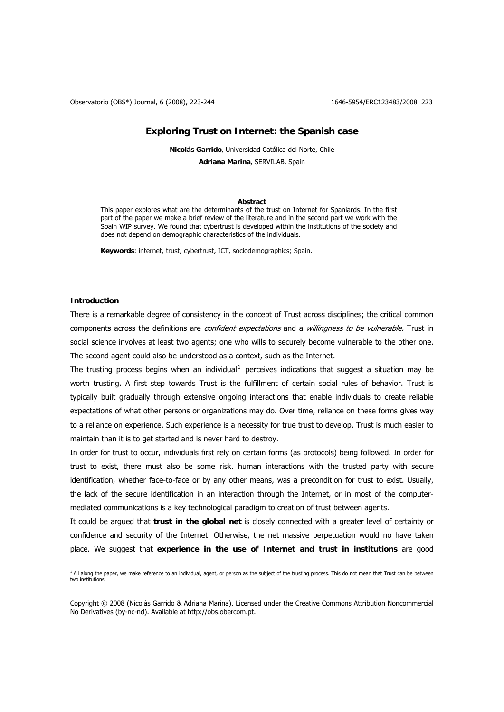Observatorio (OBS\*) Journal, 6 (2008), 223-244 1646-5954/ERC123483/2008 223

# **Exploring Trust on Internet: the Spanish case**

**Nicolás Garrido**, Universidad Católica del Norte, Chile

**Adriana Marina**, SERVILAB, Spain

### **Abstract**

This paper explores what are the determinants of the trust on Internet for Spaniards. In the first part of the paper we make a brief review of the literature and in the second part we work with the Spain WIP survey. We found that cybertrust is developed within the institutions of the society and does not depend on demographic characteristics of the individuals.

**Keywords**: internet, trust, cybertrust, ICT, sociodemographics; Spain.

# **Introduction**

There is a remarkable degree of consistency in the concept of Trust across disciplines; the critical common components across the definitions are *confident expectations* and a *willingness to be vulnerable*. Trust in social science involves at least two agents; one who wills to securely become vulnerable to the other one. The second agent could also be understood as a context, such as the Internet.

The trusting process begins when an individual<sup>[1](#page-0-0)</sup> perceives indications that suggest a situation may be worth trusting. A first step towards Trust is the fulfillment of certain social rules of behavior. Trust is typically built gradually through extensive ongoing interactions that enable individuals to create reliable expectations of what other persons or organizations may do. Over time, reliance on these forms gives way to a reliance on experience. Such experience is a necessity for true trust to develop. Trust is much easier to maintain than it is to get started and is never hard to destroy.

In order for trust to occur, individuals first rely on certain forms (as protocols) being followed. In order for trust to exist, there must also be some risk. human interactions with the trusted party with secure identification, whether face-to-face or by any other means, was a precondition for trust to exist. Usually, the lack of the secure identification in an interaction through the Internet, or in most of the computermediated communications is a key technological paradigm to creation of trust between agents.

It could be argued that **trust in the global net** is closely connected with a greater level of certainty or confidence and security of the Internet. Otherwise, the net massive perpetuation would no have taken place. We suggest that **experience in the use of Internet and trust in institutions** are good

<span id="page-0-0"></span> 1 All along the paper, we make reference to an individual, agent, or person as the subject of the trusting process. This do not mean that Trust can be between two institutions.

Copyright © 2008 (Nicolás Garrido & Adriana Marina). Licensed under the Creative Commons Attribution Noncommercial No Derivatives (by-nc-nd). Available at http://obs.obercom.pt.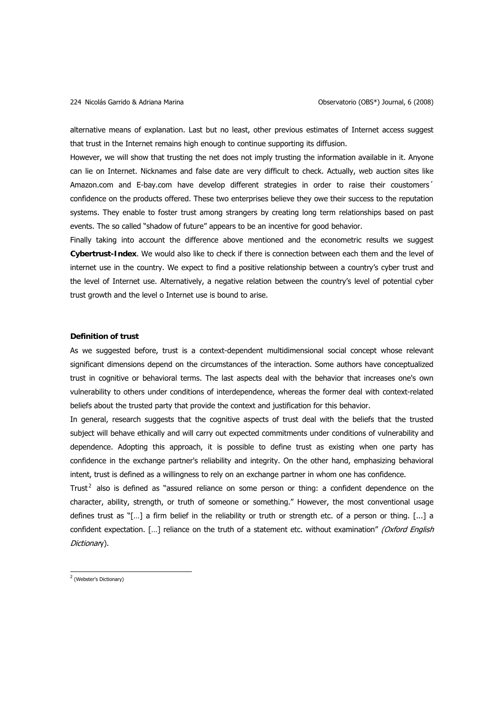alternative means of explanation. Last but no least, other previous estimates of Internet access suggest that trust in the Internet remains high enough to continue supporting its diffusion.

However, we will show that trusting the net does not imply trusting the information available in it. Anyone can lie on Internet. Nicknames and false date are very difficult to check. Actually, web auction sites like Amazon.com and E-bay.com have develop different strategies in order to raise their coustomers´ confidence on the products offered. These two enterprises believe they owe their success to the reputation systems. They enable to foster trust among strangers by creating long term relationships based on past events. The so called "shadow of future" appears to be an incentive for good behavior.

Finally taking into account the difference above mentioned and the econometric results we suggest **Cybertrust-Index**. We would also like to check if there is connection between each them and the level of internet use in the country. We expect to find a positive relationship between a country's cyber trust and the level of Internet use. Alternatively, a negative relation between the country's level of potential cyber trust growth and the level o Internet use is bound to arise.

# **Definition of trust**

As we suggested before, trust is a context-dependent multidimensional social concept whose relevant significant dimensions depend on the circumstances of the interaction. Some authors have conceptualized trust in cognitive or behavioral terms. The last aspects deal with the behavior that increases one's own vulnerability to others under conditions of interdependence, whereas the former deal with context-related beliefs about the trusted party that provide the context and justification for this behavior.

In general, research suggests that the cognitive aspects of trust deal with the beliefs that the trusted subject will behave ethically and will carry out expected commitments under conditions of vulnerability and dependence. Adopting this approach, it is possible to define trust as existing when one party has confidence in the exchange partner's reliability and integrity. On the other hand, emphasizing behavioral intent, trust is defined as a willingness to rely on an exchange partner in whom one has confidence.

Trust<sup>[2](#page-1-0)</sup> also is defined as "assured reliance on some person or thing: a confident dependence on the character, ability, strength, or truth of someone or something." However, the most conventional usage defines trust as "[…] a firm belief in the reliability or truth or strength etc. of a person or thing. [...] a confident expectation. [...] reliance on the truth of a statement etc. without examination" (Oxford English Dictionary).

<span id="page-1-0"></span><sup>&</sup>lt;sup>2</sup> (Webster's Dictionary)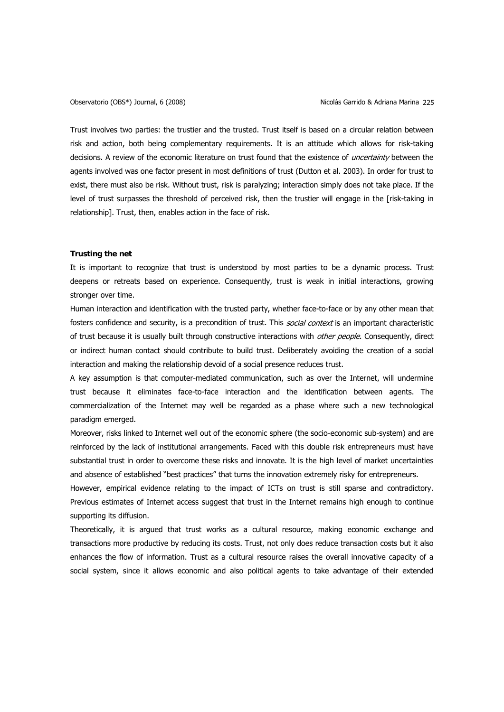Trust involves two parties: the trustier and the trusted. Trust itself is based on a circular relation between risk and action, both being complementary requirements. It is an attitude which allows for risk-taking decisions. A review of the economic literature on trust found that the existence of *uncertainty* between the agents involved was one factor present in most definitions of trust (Dutton et al. 2003). In order for trust to exist, there must also be risk. Without trust, risk is paralyzing; interaction simply does not take place. If the level of trust surpasses the threshold of perceived risk, then the trustier will engage in the [risk-taking in relationship]. Trust, then, enables action in the face of risk.

# **Trusting the net**

It is important to recognize that trust is understood by most parties to be a dynamic process. Trust deepens or retreats based on experience. Consequently, trust is weak in initial interactions, growing stronger over time.

Human interaction and identification with the trusted party, whether face-to-face or by any other mean that fosters confidence and security, is a precondition of trust. This *social context* is an important characteristic of trust because it is usually built through constructive interactions with *other people*. Consequently, direct or indirect human contact should contribute to build trust. Deliberately avoiding the creation of a social interaction and making the relationship devoid of a social presence reduces trust.

A key assumption is that computer-mediated communication, such as over the Internet, will undermine trust because it eliminates face-to-face interaction and the identification between agents. The commercialization of the Internet may well be regarded as a phase where such a new technological paradigm emerged.

Moreover, risks linked to Internet well out of the economic sphere (the socio-economic sub-system) and are reinforced by the lack of institutional arrangements. Faced with this double risk entrepreneurs must have substantial trust in order to overcome these risks and innovate. It is the high level of market uncertainties and absence of established "best practices" that turns the innovation extremely risky for entrepreneurs.

However, empirical evidence relating to the impact of ICTs on trust is still sparse and contradictory. Previous estimates of Internet access suggest that trust in the Internet remains high enough to continue supporting its diffusion.

Theoretically, it is argued that trust works as a cultural resource, making economic exchange and transactions more productive by reducing its costs. Trust, not only does reduce transaction costs but it also enhances the flow of information. Trust as a cultural resource raises the overall innovative capacity of a social system, since it allows economic and also political agents to take advantage of their extended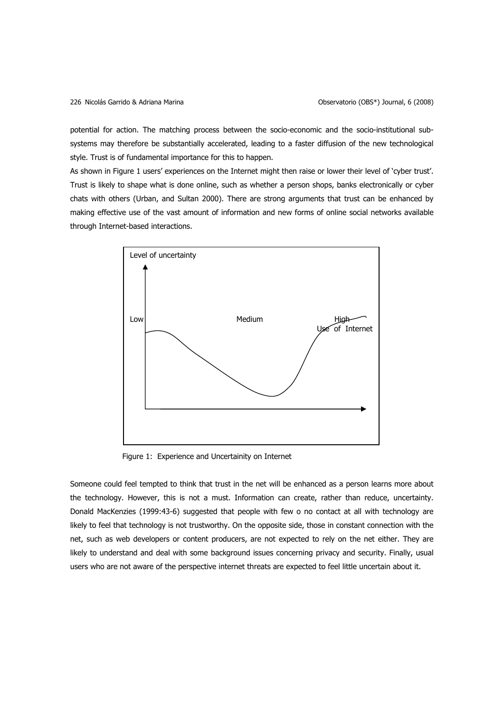potential for action. The matching process between the socio-economic and the socio-institutional subsystems may therefore be substantially accelerated, leading to a faster diffusion of the new technological style. Trust is of fundamental importance for this to happen.

As shown in [Figure 1](#page-3-0) users' experiences on the Internet might then raise or lower their level of 'cyber trust'. Trust is likely to shape what is done online, such as whether a person shops, banks electronically or cyber chats with others (Urban, and Sultan 2000). There are strong arguments that trust can be enhanced by making effective use of the vast amount of information and new forms of online social networks available through Internet-based interactions.



Figure 1: Experience and Uncertainity on Internet

<span id="page-3-0"></span>Someone could feel tempted to think that trust in the net will be enhanced as a person learns more about the technology. However, this is not a must. Information can create, rather than reduce, uncertainty. Donald MacKenzies (1999:43-6) suggested that people with few o no contact at all with technology are likely to feel that technology is not trustworthy. On the opposite side, those in constant connection with the net, such as web developers or content producers, are not expected to rely on the net either. They are likely to understand and deal with some background issues concerning privacy and security. Finally, usual users who are not aware of the perspective internet threats are expected to feel little uncertain about it.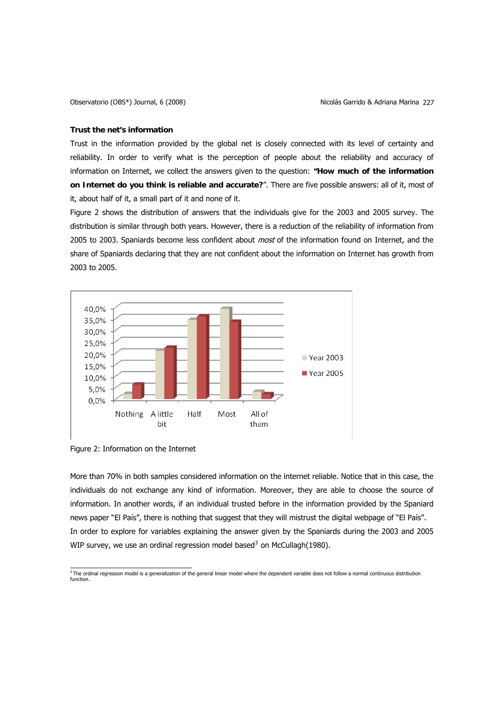### **Trust the net's information**

Trust in the information provided by the global net is closely connected with its level of certainty and reliability. In order to verify what is the perception of people about the reliability and accuracy of information on Internet, we collect the answers given to the question: **"How much of the information on Internet do you think is reliable and accurate?**". There are five possible answers: all of it, most of it, about half of it, a small part of it and none of it.

[Figure 2](#page-4-0) shows the distribution of answers that the individuals give for the 2003 and 2005 survey. The distribution is similar through both years. However, there is a reduction of the reliability of information from 2005 to 2003. Spaniards become less confident about *most* of the information found on Internet, and the share of Spaniards declaring that they are not confident about the information on Internet has growth from 2003 to 2005.



<span id="page-4-0"></span>Figure 2: Information on the Internet

More than 70% in both samples considered information on the internet reliable. Notice that in this case, the individuals do not exchange any kind of information. Moreover, they are able to choose the source of information. In another words, if an individual trusted before in the information provided by the Spaniard news paper "El País", there is nothing that suggest that they will mistrust the digital webpage of "El País". In order to explore for variables explaining the answer given by the Spaniards during the 2003 and 2005 WIP survey, we use an ordinal regression model based<sup>[3](#page-4-1)</sup> on McCullagh(1980).

<span id="page-4-1"></span> $^3$  The ordinal regression model is a generalization of the general linear model where the dependent variable does not follow a normal continuous distribution function.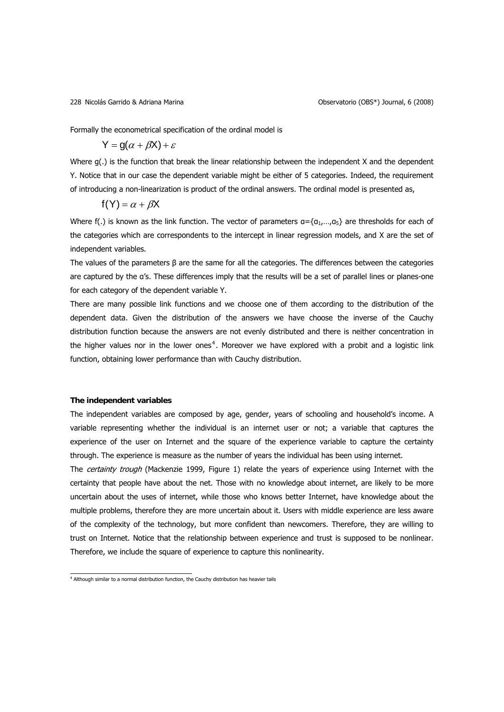Formally the econometrical specification of the ordinal model is

$$
Y = g(\alpha + \beta X) + \varepsilon
$$

Where g(.) is the function that break the linear relationship between the independent X and the dependent Y. Notice that in our case the dependent variable might be either of 5 categories. Indeed, the requirement of introducing a non-linearization is product of the ordinal answers. The ordinal model is presented as,

$$
f(Y) = \alpha + \beta X
$$

Where f(.) is known as the link function. The vector of parameters  $a = \{a_1,...,a_5\}$  are thresholds for each of the categories which are correspondents to the intercept in linear regression models, and X are the set of independent variables.

The values of the parameters  $\beta$  are the same for all the categories. The differences between the categories are captured by the α's. These differences imply that the results will be a set of parallel lines or planes-one for each category of the dependent variable Y.

There are many possible link functions and we choose one of them according to the distribution of the dependent data. Given the distribution of the answers we have choose the inverse of the Cauchy distribution function because the answers are not evenly distributed and there is neither concentration in the higher values nor in the lower ones<sup>[4](#page-5-0)</sup>. Moreover we have explored with a probit and a logistic link function, obtaining lower performance than with Cauchy distribution.

## **The independent variables**

The independent variables are composed by age, gender, years of schooling and household's income. A variable representing whether the individual is an internet user or not; a variable that captures the experience of the user on Internet and the square of the experience variable to capture the certainty through. The experience is measure as the number of years the individual has been using internet.

The *certainty trough* (Mackenzie 1999, [Figure 1](#page-3-0)) relate the years of experience using Internet with the certainty that people have about the net. Those with no knowledge about internet, are likely to be more uncertain about the uses of internet, while those who knows better Internet, have knowledge about the multiple problems, therefore they are more uncertain about it. Users with middle experience are less aware of the complexity of the technology, but more confident than newcomers. Therefore, they are willing to trust on Internet. Notice that the relationship between experience and trust is supposed to be nonlinear. Therefore, we include the square of experience to capture this nonlinearity.

<span id="page-5-0"></span> 4 Although similar to a normal distribution function, the Cauchy distribution has heavier tails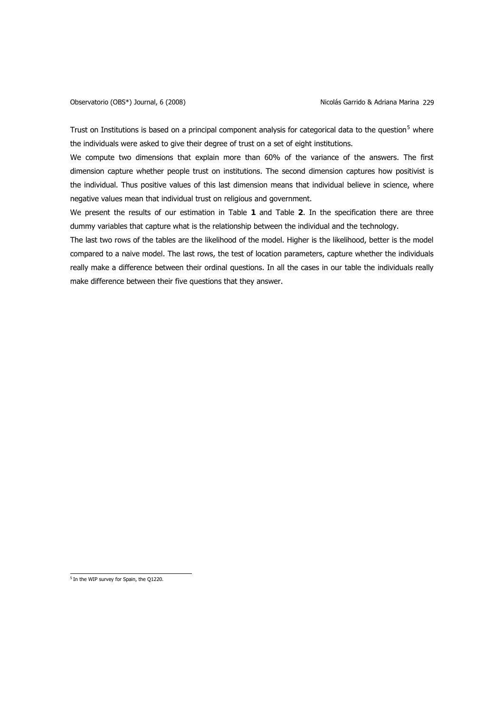Trust on Institutions is based on a principal component analysis for categorical data to the question<sup>[5](#page-6-0)</sup> where the individuals were asked to give their degree of trust on a set of eight institutions.

We compute two dimensions that explain more than 60% of the variance of the answers. The first dimension capture whether people trust on institutions. The second dimension captures how positivist is the individual. Thus positive values of this last dimension means that individual believe in science, where negative values mean that individual trust on religious and government.

We present the results of our estimation in [Table](#page-7-0) **1** and [Table](#page-8-0) **2**. In the specification there are three dummy variables that capture what is the relationship between the individual and the technology.

The last two rows of the tables are the likelihood of the model. Higher is the likelihood, better is the model compared to a naive model. The last rows, the test of location parameters, capture whether the individuals really make a difference between their ordinal questions. In all the cases in our table the individuals really make difference between their five questions that they answer.

<span id="page-6-0"></span> $<sup>5</sup>$  In the WIP survey for Spain, the Q1220.</sup>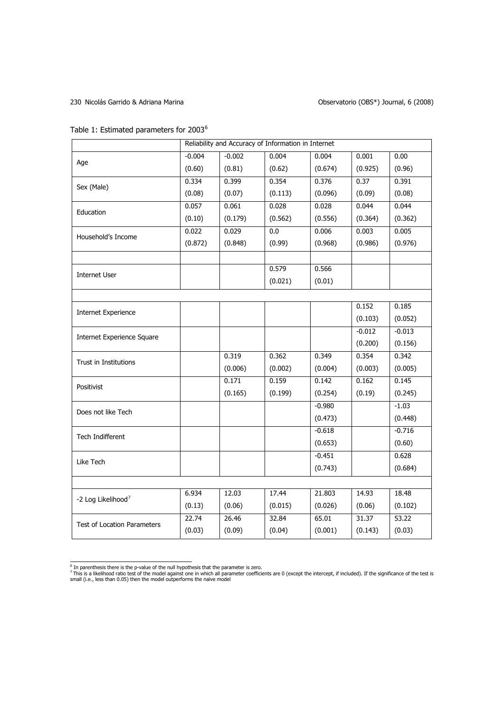# 230 Nicolás Garrido & Adriana Marina **Observatorio (OBS<sup>\*</sup>)** Journal, 6 (2008)

<span id="page-7-0"></span>Table 1: Estimated parameters for 2003<sup>[6](#page-7-1)</sup>

|                                    | Reliability and Accuracy of Information in Internet |          |         |          |          |          |
|------------------------------------|-----------------------------------------------------|----------|---------|----------|----------|----------|
| Age                                | $-0.004$                                            | $-0.002$ | 0.004   | 0.004    | 0.001    | 0.00     |
|                                    | (0.60)                                              | (0.81)   | (0.62)  | (0.674)  | (0.925)  | (0.96)   |
| Sex (Male)                         | 0.334                                               | 0.399    | 0.354   | 0.376    | 0.37     | 0.391    |
|                                    | (0.08)                                              | (0.07)   | (0.113) | (0.096)  | (0.09)   | (0.08)   |
| Education                          | 0.057                                               | 0.061    | 0.028   | 0.028    | 0.044    | 0.044    |
|                                    | (0.10)                                              | (0.179)  | (0.562) | (0.556)  | (0.364)  | (0.362)  |
| Household's Income                 | 0.022                                               | 0.029    | 0.0     | 0.006    | 0.003    | 0.005    |
|                                    | (0.872)                                             | (0.848)  | (0.99)  | (0.968)  | (0.986)  | (0.976)  |
|                                    |                                                     |          |         |          |          |          |
| <b>Internet User</b>               |                                                     |          | 0.579   | 0.566    |          |          |
|                                    |                                                     |          | (0.021) | (0.01)   |          |          |
|                                    |                                                     |          |         |          |          |          |
| <b>Internet Experience</b>         |                                                     |          |         |          | 0.152    | 0.185    |
|                                    |                                                     |          |         |          | (0.103)  | (0.052)  |
| <b>Internet Experience Square</b>  |                                                     |          |         |          | $-0.012$ | $-0.013$ |
|                                    |                                                     |          |         |          | (0.200)  | (0.156)  |
| Trust in Institutions              |                                                     | 0.319    | 0.362   | 0.349    | 0.354    | 0.342    |
|                                    |                                                     | (0.006)  | (0.002) | (0.004)  | (0.003)  | (0.005)  |
| Positivist                         |                                                     | 0.171    | 0.159   | 0.142    | 0.162    | 0.145    |
|                                    |                                                     | (0.165)  | (0.199) | (0.254)  | (0.19)   | (0.245)  |
| Does not like Tech                 |                                                     |          |         | $-0.980$ |          | $-1.03$  |
|                                    |                                                     |          |         | (0.473)  |          | (0.448)  |
| Tech Indifferent                   |                                                     |          |         | $-0.618$ |          | $-0.716$ |
|                                    |                                                     |          |         | (0.653)  |          | (0.60)   |
| Like Tech                          |                                                     |          |         | $-0.451$ |          | 0.628    |
|                                    |                                                     |          |         | (0.743)  |          | (0.684)  |
|                                    |                                                     |          |         |          |          |          |
| -2 Log Likelihood <sup>7</sup>     | 6.934                                               | 12.03    | 17.44   | 21.803   | 14.93    | 18.48    |
|                                    | (0.13)                                              | (0.06)   | (0.015) | (0.026)  | (0.06)   | (0.102)  |
| <b>Test of Location Parameters</b> | 22.74                                               | 26.46    | 32.84   | 65.01    | 31.37    | 53.22    |
|                                    | (0.03)                                              | (0.09)   | (0.04)  | (0.001)  | (0.143)  | (0.03)   |

<span id="page-7-2"></span><span id="page-7-1"></span><sup>&</sup>lt;sup>6</sup> In parenthesis there is the p-value of the null hypothesis that the parameter is zero.<br><sup>7</sup> This is a likelihood ratio test of the model against one in which all parameter coefficients are 0 (except the intercept, if in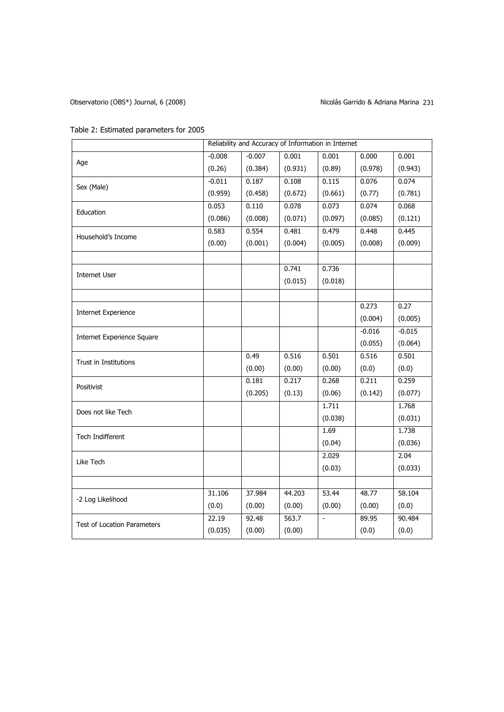# Observatorio (OBS\*) Journal, 6 (2008) (Observatorio (OBS\*) Journal, 6 (2008)

# Table 2: Estimated parameters for 2005

<span id="page-8-0"></span>

|                                    | Reliability and Accuracy of Information in Internet |          |         |         |          |          |
|------------------------------------|-----------------------------------------------------|----------|---------|---------|----------|----------|
|                                    | $-0.008$                                            | $-0.007$ | 0.001   | 0.001   | 0.000    | 0.001    |
| Age                                | (0.26)                                              | (0.384)  | (0.931) | (0.89)  | (0.978)  | (0.943)  |
| Sex (Male)                         | $-0.011$                                            | 0.187    | 0.108   | 0.115   | 0.076    | 0.074    |
|                                    | (0.959)                                             | (0.458)  | (0.672) | (0.661) | (0.77)   | (0.781)  |
| Education                          | 0.053                                               | 0.110    | 0.078   | 0.073   | 0.074    | 0.068    |
|                                    | (0.086)                                             | (0.008)  | (0.071) | (0.097) | (0.085)  | (0.121)  |
|                                    | 0.583                                               | 0.554    | 0.481   | 0.479   | 0.448    | 0.445    |
| Household's Income                 | (0.00)                                              | (0.001)  | (0.004) | (0.005) | (0.008)  | (0.009)  |
|                                    |                                                     |          | 0.741   | 0.736   |          |          |
| Internet User                      |                                                     |          |         |         |          |          |
|                                    |                                                     |          | (0.015) | (0.018) |          |          |
|                                    |                                                     |          |         |         |          |          |
| <b>Internet Experience</b>         |                                                     |          |         |         | 0.273    | 0.27     |
|                                    |                                                     |          |         |         | (0.004)  | (0.005)  |
| <b>Internet Experience Square</b>  |                                                     |          |         |         | $-0.016$ | $-0.015$ |
|                                    |                                                     |          |         |         | (0.055)  | (0.064)  |
| Trust in Institutions              |                                                     | 0.49     | 0.516   | 0.501   | 0.516    | 0.501    |
|                                    |                                                     | (0.00)   | (0.00)  | (0.00)  | (0.0)    | (0.0)    |
| Positivist                         |                                                     | 0.181    | 0.217   | 0.268   | 0.211    | 0.259    |
|                                    |                                                     | (0.205)  | (0.13)  | (0.06)  | (0.142)  | (0.077)  |
| Does not like Tech                 |                                                     |          |         | 1.711   |          | 1.768    |
|                                    |                                                     |          |         | (0.038) |          | (0.031)  |
| Tech Indifferent                   |                                                     |          |         | 1.69    |          | 1.738    |
|                                    |                                                     |          |         | (0.04)  |          | (0.036)  |
| Like Tech                          |                                                     |          |         | 2.029   |          | 2.04     |
|                                    |                                                     |          |         | (0.03)  |          | (0.033)  |
|                                    |                                                     |          |         |         |          |          |
| -2 Log Likelihood                  | 31.106                                              | 37.984   | 44.203  | 53.44   | 48.77    | 58.104   |
|                                    | (0.0)                                               | (0.00)   | (0.00)  | (0.00)  | (0.00)   | (0.0)    |
| <b>Test of Location Parameters</b> | 22.19                                               | 92.48    | 563.7   | $\Box$  | 89.95    | 90.484   |
|                                    | (0.035)                                             | (0.00)   | (0.00)  |         | (0.0)    | (0.0)    |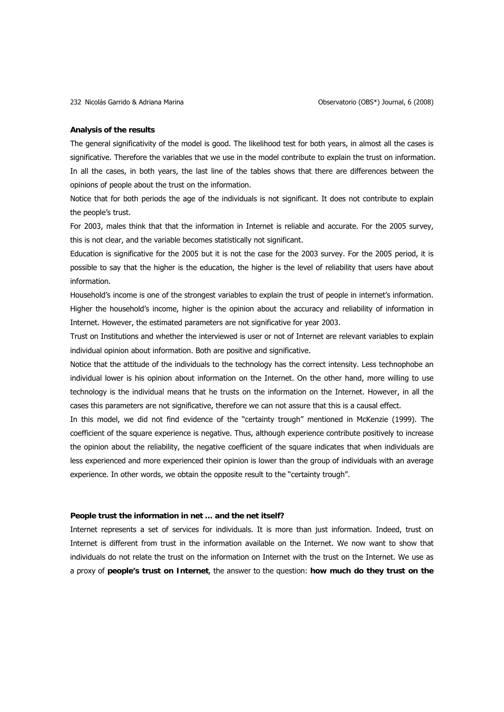## **Analysis of the results**

The general significativity of the model is good. The likelihood test for both years, in almost all the cases is significative. Therefore the variables that we use in the model contribute to explain the trust on information. In all the cases, in both years, the last line of the tables shows that there are differences between the opinions of people about the trust on the information.

Notice that for both periods the age of the individuals is not significant. It does not contribute to explain the people's trust.

For 2003, males think that that the information in Internet is reliable and accurate. For the 2005 survey, this is not clear, and the variable becomes statistically not significant.

Education is significative for the 2005 but it is not the case for the 2003 survey. For the 2005 period, it is possible to say that the higher is the education, the higher is the level of reliability that users have about information.

Household's income is one of the strongest variables to explain the trust of people in internet's information. Higher the household's income, higher is the opinion about the accuracy and reliability of information in Internet. However, the estimated parameters are not significative for year 2003.

Trust on Institutions and whether the interviewed is user or not of Internet are relevant variables to explain individual opinion about information. Both are positive and significative.

Notice that the attitude of the individuals to the technology has the correct intensity. Less technophobe an individual lower is his opinion about information on the Internet. On the other hand, more willing to use technology is the individual means that he trusts on the information on the Internet. However, in all the cases this parameters are not significative, therefore we can not assure that this is a causal effect.

In this model, we did not find evidence of the "certainty trough" mentioned in McKenzie (1999). The coefficient of the square experience is negative. Thus, although experience contribute positively to increase the opinion about the reliability, the negative coefficient of the square indicates that when individuals are less experienced and more experienced their opinion is lower than the group of individuals with an average experience. In other words, we obtain the opposite result to the "certainty trough".

# **People trust the information in net … and the net itself?**

Internet represents a set of services for individuals. It is more than just information. Indeed, trust on Internet is different from trust in the information available on the Internet. We now want to show that individuals do not relate the trust on the information on Internet with the trust on the Internet. We use as a proxy of **people's trust on Internet**, the answer to the question: **how much do they trust on the**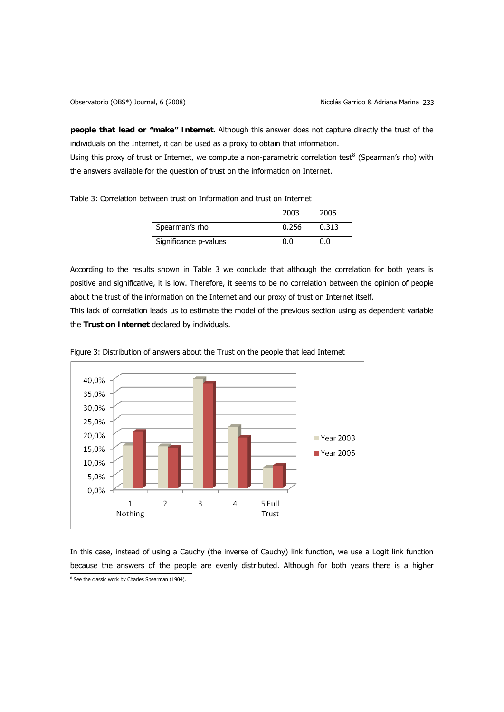**people that lead or "make" Internet**. Although this answer does not capture directly the trust of the individuals on the Internet, it can be used as a proxy to obtain that information.

Using this proxy of trust or Internet, we compute a non-parametric correlation test<sup>[8](#page-10-0)</sup> (Spearman's rho) with the answers available for the question of trust on the information on Internet.

<span id="page-10-1"></span>Table 3: Correlation between trust on Information and trust on Internet

|                       | 2003  | 2005  |
|-----------------------|-------|-------|
| Spearman's rho        | 0.256 | 0.313 |
| Significance p-values |       | 0.0   |

According to the results shown in [Table 3](#page-10-1) we conclude that although the correlation for both years is positive and significative, it is low. Therefore, it seems to be no correlation between the opinion of people about the trust of the information on the Internet and our proxy of trust on Internet itself.

This lack of correlation leads us to estimate the model of the previous section using as dependent variable the **Trust on Internet** declared by individuals.



Figure 3: Distribution of answers about the Trust on the people that lead Internet

<span id="page-10-0"></span>In this case, instead of using a Cauchy (the inverse of Cauchy) link function, we use a Logit link function because the answers of the people are evenly distributed. Although for both years there is a higher <sup>8</sup> See the classic work by Charles Spearman (1904).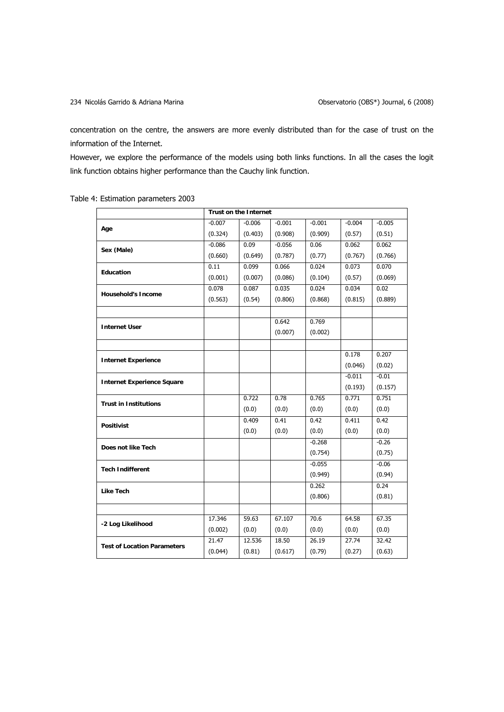concentration on the centre, the answers are more evenly distributed than for the case of trust on the information of the Internet.

However, we explore the performance of the models using both links functions. In all the cases the logit link function obtains higher performance than the Cauchy link function.

|                                    | <b>Trust on the Internet</b> |          |          |          |          |          |
|------------------------------------|------------------------------|----------|----------|----------|----------|----------|
| Age                                | $-0.007$                     | $-0.006$ | $-0.001$ | $-0.001$ | $-0.004$ | $-0.005$ |
|                                    | (0.324)                      | (0.403)  | (0.908)  | (0.909)  | (0.57)   | (0.51)   |
|                                    | $-0.086$                     | 0.09     | $-0.056$ | 0.06     | 0.062    | 0.062    |
| Sex (Male)                         | (0.660)                      | (0.649)  | (0.787)  | (0.77)   | (0.767)  | (0.766)  |
| Education                          | 0.11                         | 0.099    | 0.066    | 0.024    | 0.073    | 0.070    |
|                                    | (0.001)                      | (0.007)  | (0.086)  | (0.104)  | (0.57)   | (0.069)  |
| <b>Household's Income</b>          | 0.078                        | 0.087    | 0.035    | 0.024    | 0.034    | 0.02     |
|                                    | (0.563)                      | (0.54)   | (0.806)  | (0.868)  | (0.815)  | (0.889)  |
|                                    |                              |          |          |          |          |          |
| <b>Internet User</b>               |                              |          | 0.642    | 0.769    |          |          |
|                                    |                              |          | (0.007)  | (0.002)  |          |          |
|                                    |                              |          |          |          |          |          |
| <b>Internet Experience</b>         |                              |          |          |          | 0.178    | 0.207    |
|                                    |                              |          |          |          | (0.046)  | (0.02)   |
| <b>Internet Experience Square</b>  |                              |          |          |          | $-0.011$ | $-0.01$  |
|                                    |                              |          |          |          | (0.193)  | (0.157)  |
| <b>Trust in Institutions</b>       |                              | 0.722    | 0.78     | 0.765    | 0.771    | 0.751    |
|                                    |                              | (0.0)    | (0.0)    | (0.0)    | (0.0)    | (0.0)    |
| <b>Positivist</b>                  |                              | 0.409    | 0.41     | 0.42     | 0.411    | 0.42     |
|                                    |                              | (0.0)    | (0.0)    | (0.0)    | (0.0)    | (0.0)    |
| Does not like Tech                 |                              |          |          | $-0.268$ |          | $-0.26$  |
|                                    |                              |          |          | (0.754)  |          | (0.75)   |
| <b>Tech Indifferent</b>            |                              |          |          | $-0.055$ |          | $-0.06$  |
|                                    |                              |          |          | (0.949)  |          | (0.94)   |
| <b>Like Tech</b>                   |                              |          |          | 0.262    |          | 0.24     |
|                                    |                              |          |          | (0.806)  |          | (0.81)   |
|                                    |                              |          |          |          |          |          |
| -2 Log Likelihood                  | 17.346                       | 59.63    | 67.107   | 70.6     | 64.58    | 67.35    |
|                                    | (0.002)                      | (0.0)    | (0.0)    | (0.0)    | (0.0)    | (0.0)    |
| <b>Test of Location Parameters</b> | 21.47                        | 12.536   | 18.50    | 26.19    | 27.74    | 32.42    |
|                                    | (0.044)                      | (0.81)   | (0.617)  | (0.79)   | (0.27)   | (0.63)   |

Table 4: Estimation parameters 2003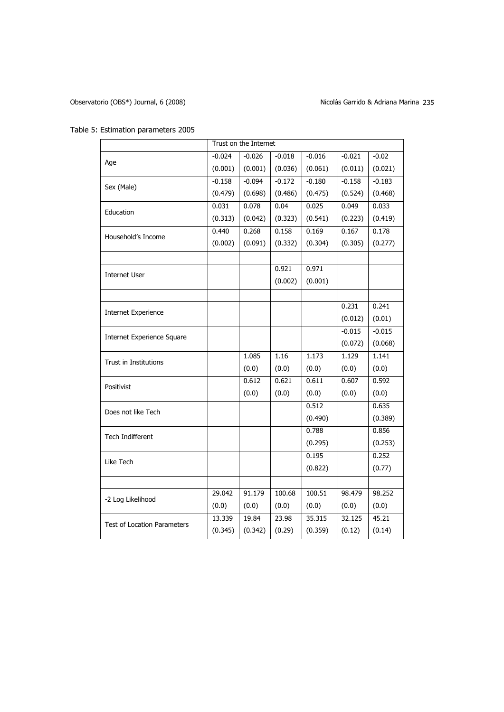| Table 5: Estimation parameters 2005 |  |
|-------------------------------------|--|
|-------------------------------------|--|

|                                    | Trust on the Internet |          |          |          |          |          |
|------------------------------------|-----------------------|----------|----------|----------|----------|----------|
| Age                                | $-0.024$              | $-0.026$ | $-0.018$ | $-0.016$ | $-0.021$ | $-0.02$  |
|                                    | (0.001)               | (0.001)  | (0.036)  | (0.061)  | (0.011)  | (0.021)  |
| Sex (Male)                         | $-0.158$              | $-0.094$ | $-0.172$ | $-0.180$ | $-0.158$ | $-0.183$ |
|                                    | (0.479)               | (0.698)  | (0.486)  | (0.475)  | (0.524)  | (0.468)  |
| Education                          | 0.031                 | 0.078    | 0.04     | 0.025    | 0.049    | 0.033    |
|                                    | (0.313)               | (0.042)  | (0.323)  | (0.541)  | (0.223)  | (0.419)  |
| Household's Income                 | 0.440                 | 0.268    | 0.158    | 0.169    | 0.167    | 0.178    |
|                                    | (0.002)               | (0.091)  | (0.332)  | (0.304)  | (0.305)  | (0.277)  |
|                                    |                       |          |          |          |          |          |
| <b>Internet User</b>               |                       |          | 0.921    | 0.971    |          |          |
|                                    |                       |          | (0.002)  | (0.001)  |          |          |
|                                    |                       |          |          |          |          |          |
| <b>Internet Experience</b>         |                       |          |          |          | 0.231    | 0.241    |
|                                    |                       |          |          |          | (0.012)  | (0.01)   |
| <b>Internet Experience Square</b>  |                       |          |          |          | $-0.015$ | $-0.015$ |
|                                    |                       |          |          |          | (0.072)  | (0.068)  |
| <b>Trust in Institutions</b>       |                       | 1.085    | 1.16     | 1.173    | 1.129    | 1.141    |
|                                    |                       | (0.0)    | (0.0)    | (0.0)    | (0.0)    | (0.0)    |
| Positivist                         |                       | 0.612    | 0.621    | 0.611    | 0.607    | 0.592    |
|                                    |                       | (0.0)    | (0.0)    | (0.0)    | (0.0)    | (0.0)    |
| Does not like Tech                 |                       |          |          | 0.512    |          | 0.635    |
|                                    |                       |          |          | (0.490)  |          | (0.389)  |
| Tech Indifferent                   |                       |          |          | 0.788    |          | 0.856    |
|                                    |                       |          |          | (0.295)  |          | (0.253)  |
| Like Tech                          |                       |          |          | 0.195    |          | 0.252    |
|                                    |                       |          |          | (0.822)  |          | (0.77)   |
|                                    |                       |          |          |          |          |          |
| -2 Log Likelihood                  | 29.042                | 91.179   | 100.68   | 100.51   | 98.479   | 98.252   |
|                                    | (0.0)                 | (0.0)    | (0.0)    | (0.0)    | (0.0)    | (0.0)    |
| <b>Test of Location Parameters</b> | 13.339                | 19.84    | 23.98    | 35.315   | 32.125   | 45.21    |
|                                    | (0.345)               | (0.342)  | (0.29)   | (0.359)  | (0.12)   | (0.14)   |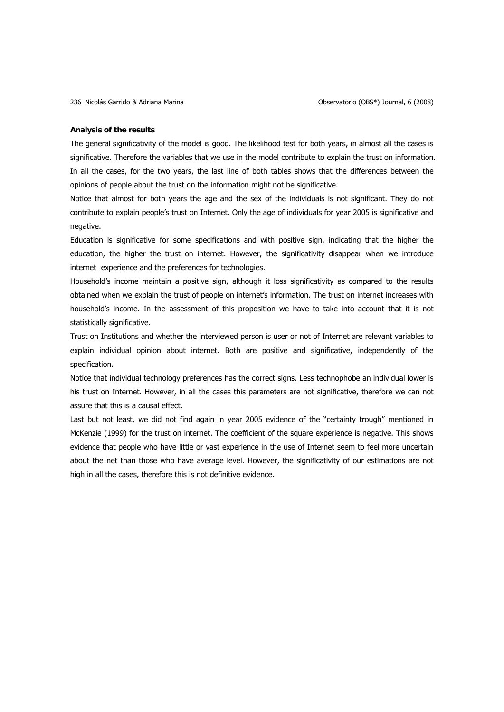## **Analysis of the results**

The general significativity of the model is good. The likelihood test for both years, in almost all the cases is significative. Therefore the variables that we use in the model contribute to explain the trust on information. In all the cases, for the two years, the last line of both tables shows that the differences between the opinions of people about the trust on the information might not be significative.

Notice that almost for both years the age and the sex of the individuals is not significant. They do not contribute to explain people's trust on Internet. Only the age of individuals for year 2005 is significative and negative.

Education is significative for some specifications and with positive sign, indicating that the higher the education, the higher the trust on internet. However, the significativity disappear when we introduce internet experience and the preferences for technologies.

Household's income maintain a positive sign, although it loss significativity as compared to the results obtained when we explain the trust of people on internet's information. The trust on internet increases with household's income. In the assessment of this proposition we have to take into account that it is not statistically significative.

Trust on Institutions and whether the interviewed person is user or not of Internet are relevant variables to explain individual opinion about internet. Both are positive and significative, independently of the specification.

Notice that individual technology preferences has the correct signs. Less technophobe an individual lower is his trust on Internet. However, in all the cases this parameters are not significative, therefore we can not assure that this is a causal effect.

Last but not least, we did not find again in year 2005 evidence of the "certainty trough" mentioned in McKenzie (1999) for the trust on internet. The coefficient of the square experience is negative. This shows evidence that people who have little or vast experience in the use of Internet seem to feel more uncertain about the net than those who have average level. However, the significativity of our estimations are not high in all the cases, therefore this is not definitive evidence.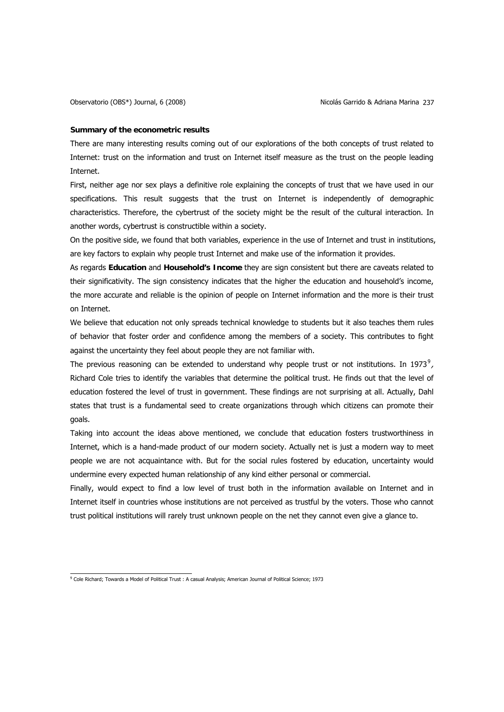### **Summary of the econometric results**

There are many interesting results coming out of our explorations of the both concepts of trust related to Internet: trust on the information and trust on Internet itself measure as the trust on the people leading Internet.

First, neither age nor sex plays a definitive role explaining the concepts of trust that we have used in our specifications. This result suggests that the trust on Internet is independently of demographic characteristics. Therefore, the cybertrust of the society might be the result of the cultural interaction. In another words, cybertrust is constructible within a society.

On the positive side, we found that both variables, experience in the use of Internet and trust in institutions, are key factors to explain why people trust Internet and make use of the information it provides.

As regards **Education** and **Household's Income** they are sign consistent but there are caveats related to their significativity. The sign consistency indicates that the higher the education and household's income, the more accurate and reliable is the opinion of people on Internet information and the more is their trust on Internet.

We believe that education not only spreads technical knowledge to students but it also teaches them rules of behavior that foster order and confidence among the members of a society. This contributes to fight against the uncertainty they feel about people they are not familiar with.

The previous reasoning can be extended to understand why people trust or not institutions. In 1[9](#page-14-0)73<sup>9</sup>, Richard Cole tries to identify the variables that determine the political trust. He finds out that the level of education fostered the level of trust in government. These findings are not surprising at all. Actually, Dahl states that trust is a fundamental seed to create organizations through which citizens can promote their goals.

Taking into account the ideas above mentioned, we conclude that education fosters trustworthiness in Internet, which is a hand-made product of our modern society. Actually net is just a modern way to meet people we are not acquaintance with. But for the social rules fostered by education, uncertainty would undermine every expected human relationship of any kind either personal or commercial.

Finally, would expect to find a low level of trust both in the information available on Internet and in Internet itself in countries whose institutions are not perceived as trustful by the voters. Those who cannot trust political institutions will rarely trust unknown people on the net they cannot even give a glance to.

<span id="page-14-0"></span> 9 Cole Richard; Towards a Model of Political Trust : A casual Analysis; American Journal of Political Science; 1973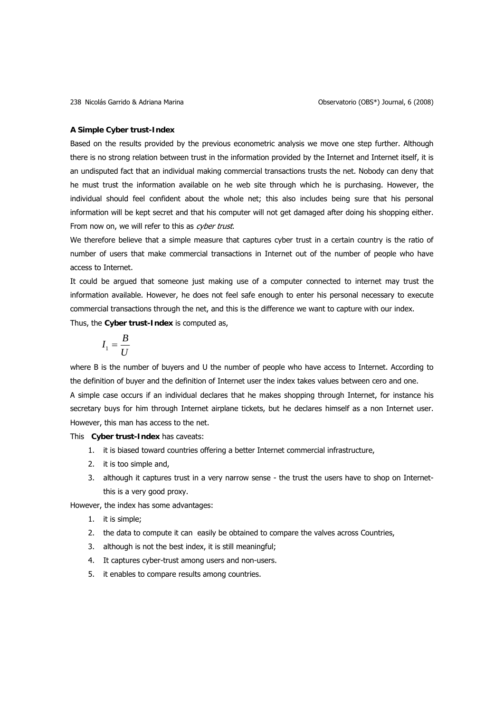## **A Simple Cyber trust-Index**

Based on the results provided by the previous econometric analysis we move one step further. Although there is no strong relation between trust in the information provided by the Internet and Internet itself, it is an undisputed fact that an individual making commercial transactions trusts the net. Nobody can deny that he must trust the information available on he web site through which he is purchasing. However, the individual should feel confident about the whole net; this also includes being sure that his personal information will be kept secret and that his computer will not get damaged after doing his shopping either. From now on, we will refer to this as cyber trust.

We therefore believe that a simple measure that captures cyber trust in a certain country is the ratio of number of users that make commercial transactions in Internet out of the number of people who have access to Internet.

It could be argued that someone just making use of a computer connected to internet may trust the information available. However, he does not feel safe enough to enter his personal necessary to execute commercial transactions through the net, and this is the difference we want to capture with our index. Thus, the **Cyber trust-Index** is computed as,

$$
I_1 = \frac{B}{U}
$$

where B is the number of buyers and U the number of people who have access to Internet. According to the definition of buyer and the definition of Internet user the index takes values between cero and one. A simple case occurs if an individual declares that he makes shopping through Internet, for instance his secretary buys for him through Internet airplane tickets, but he declares himself as a non Internet user. However, this man has access to the net.

This **Cyber trust-Index** has caveats:

- 1. it is biased toward countries offering a better Internet commercial infrastructure,
- 2. it is too simple and,
- 3. although it captures trust in a very narrow sense the trust the users have to shop on Internetthis is a very good proxy.

However, the index has some advantages:

- 1. it is simple;
- 2. the data to compute it can easily be obtained to compare the valves across Countries,
- 3. although is not the best index, it is still meaningful;
- 4. It captures cyber-trust among users and non-users.
- 5. it enables to compare results among countries.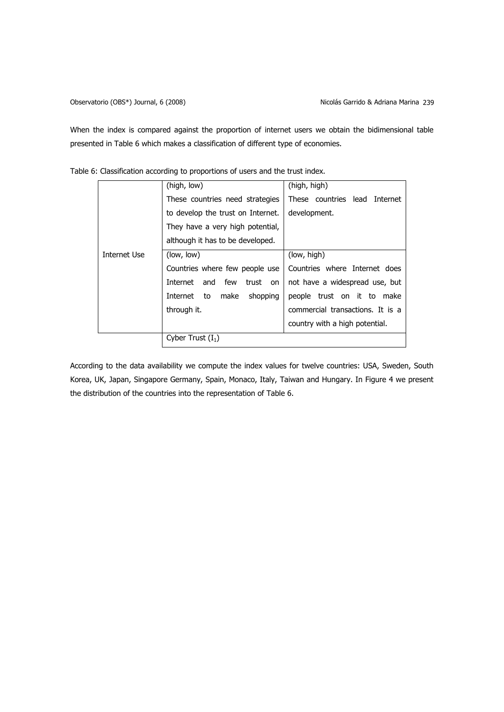When the index is compared against the proportion of internet users we obtain the bidimensional table presented in [Table 6](#page-16-0) which makes a classification of different type of economies.

|              | (high, low)                        | (high, high)                     |
|--------------|------------------------------------|----------------------------------|
|              | These countries need strategies    | These countries lead Internet    |
|              | to develop the trust on Internet.  | development.                     |
|              | They have a very high potential,   |                                  |
|              | although it has to be developed.   |                                  |
| Internet Use | (low, low)                         | (low, high)                      |
|              | Countries where few people use     | Countries where Internet does    |
|              | Internet and<br>few<br>trust<br>on | not have a widespread use, but   |
|              | shopping<br>Internet to<br>make    | people trust on it to make       |
|              | through it.                        | commercial transactions. It is a |
|              |                                    | country with a high potential.   |
|              | Cyber Trust $(I_1)$                |                                  |

<span id="page-16-0"></span>Table 6: Classification according to proportions of users and the trust index.

According to the data availability we compute the index values for twelve countries: USA, Sweden, South Korea, UK, Japan, Singapore Germany, Spain, Monaco, Italy, Taiwan and Hungary. In [Figure 4](#page-17-0) we present the distribution of the countries into the representation of [Table 6](#page-16-0).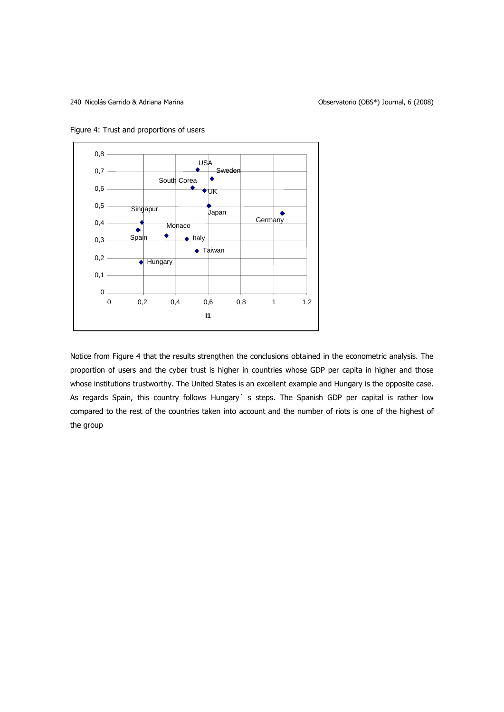<span id="page-17-0"></span>



Notice from Figure 4 that the results strengthen the conclusions obtained in the econometric analysis. The proportion of users and the cyber trust is higher in countries whose GDP per capita in higher and those whose institutions trustworthy. The United States is an excellent example and Hungary is the opposite case. As regards Spain, this country follows Hungary' s steps. The Spanish GDP per capital is rather low compared to the rest of the countries taken into account and the number of riots is one of the highest of the group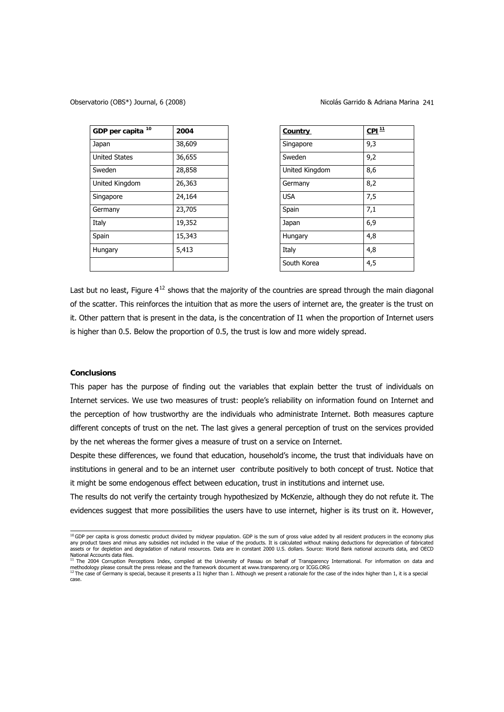| GDP per capita <sup>10</sup> | 2004   | <b>Country</b> | CPL <sup>11</sup> |
|------------------------------|--------|----------------|-------------------|
| Japan                        | 38,609 | Singapore      | 9,3               |
| <b>United States</b>         | 36,655 | Sweden         | 9,2               |
| Sweden                       | 28,858 | United Kingdom | 8,6               |
| United Kingdom               | 26,363 | Germany        | 8,2               |
| Singapore                    | 24,164 | <b>USA</b>     | 7,5               |
| Germany                      | 23,705 | Spain          | 7,1               |
| Italy                        | 19,352 | Japan          | 6,9               |
| Spain                        | 15,343 | Hungary        | 4,8               |
| Hungary                      | 5,413  | Italy          | 4,8               |
|                              |        | South Korea    | 4,5               |

| <b>Country</b> | $CPI^{11}$ |
|----------------|------------|
| Singapore      | 9,3        |
| Sweden         | 9,2        |
| United Kingdom | 8,6        |
| Germany        | 8,2        |
| <b>USA</b>     | 7,5        |
| Spain          | 7,1        |
| Japan          | 6,9        |
| Hungary        | 4,8        |
| Italy          | 4,8        |
| South Korea    | 4,5        |

Last but no least, Figure  $4^{12}$  $4^{12}$  $4^{12}$  shows that the majority of the countries are spread through the main diagonal of the scatter. This reinforces the intuition that as more the users of internet are, the greater is the trust on it. Other pattern that is present in the data, is the concentration of I1 when the proportion of Internet users is higher than 0.5. Below the proportion of 0.5, the trust is low and more widely spread.

## **Conclusions**

This paper has the purpose of finding out the variables that explain better the trust of individuals on Internet services. We use two measures of trust: people's reliability on information found on Internet and the perception of how trustworthy are the individuals who administrate Internet. Both measures capture different concepts of trust on the net. The last gives a general perception of trust on the services provided by the net whereas the former gives a measure of trust on a service on Internet.

Despite these differences, we found that education, household's income, the trust that individuals have on institutions in general and to be an internet user contribute positively to both concept of trust. Notice that it might be some endogenous effect between education, trust in institutions and internet use.

The results do not verify the certainty trough hypothesized by McKenzie, although they do not refute it. The evidences suggest that more possibilities the users have to use internet, higher is its trust on it. However,

<span id="page-18-0"></span> 10 GDP per capita is gross domestic product divided by midyear population. GDP is the sum of gross value added by all resident producers in the economy plus any product taxes and minus any subsidies not included in the value of the products. It is calculated without making deductions for depreciation of fabricated assets or for depletion and degradation of natural resources. Data are in constant 2000 U.S. dollars. Source: World Bank national accounts data, and OECD

<span id="page-18-1"></span>National Accounts data files.<br><sup>11</sup> The 2004 Corruption Perceptions Index, compiled at the University of Passau on behalf of Transparency International. For information on data and methodology please consult the press release and the framework document at www.transparency.org or ICGG.ORG<br><sup>12</sup> The case of Germany is special, because it presents a I1 higher than 1. Although we present a rationale for t

<span id="page-18-2"></span>case.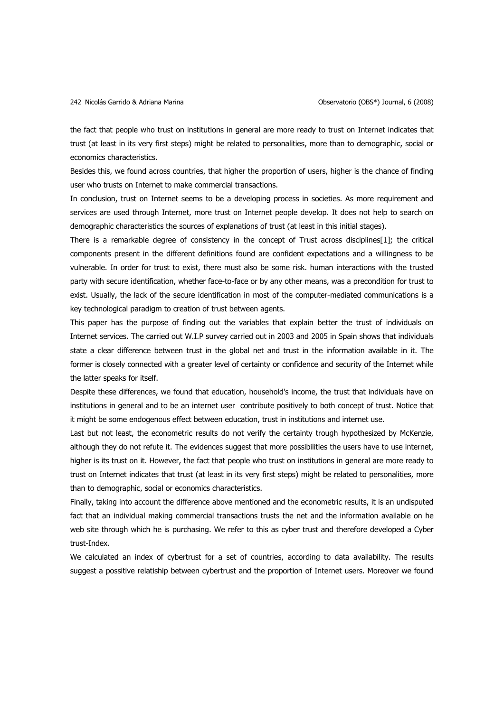the fact that people who trust on institutions in general are more ready to trust on Internet indicates that trust (at least in its very first steps) might be related to personalities, more than to demographic, social or economics characteristics.

Besides this, we found across countries, that higher the proportion of users, higher is the chance of finding user who trusts on Internet to make commercial transactions.

In conclusion, trust on Internet seems to be a developing process in societies. As more requirement and services are used through Internet, more trust on Internet people develop. It does not help to search on demographic characteristics the sources of explanations of trust (at least in this initial stages).

There is a remarkable degree of consistency in the concept of Trust across disciplines[1]; the critical components present in the different definitions found are confident expectations and a willingness to be vulnerable. In order for trust to exist, there must also be some risk. human interactions with the trusted party with secure identification, whether face-to-face or by any other means, was a precondition for trust to exist. Usually, the lack of the secure identification in most of the computer-mediated communications is a key technological paradigm to creation of trust between agents.

This paper has the purpose of finding out the variables that explain better the trust of individuals on Internet services. The carried out W.I.P survey carried out in 2003 and 2005 in Spain shows that individuals state a clear difference between trust in the global net and trust in the information available in it. The former is closely connected with a greater level of certainty or confidence and security of the Internet while the latter speaks for itself.

Despite these differences, we found that education, household's income, the trust that individuals have on institutions in general and to be an internet user contribute positively to both concept of trust. Notice that it might be some endogenous effect between education, trust in institutions and internet use.

Last but not least, the econometric results do not verify the certainty trough hypothesized by McKenzie, although they do not refute it. The evidences suggest that more possibilities the users have to use internet, higher is its trust on it. However, the fact that people who trust on institutions in general are more ready to trust on Internet indicates that trust (at least in its very first steps) might be related to personalities, more than to demographic, social or economics characteristics.

Finally, taking into account the difference above mentioned and the econometric results, it is an undisputed fact that an individual making commercial transactions trusts the net and the information available on he web site through which he is purchasing. We refer to this as cyber trust and therefore developed a Cyber trust-Index.

We calculated an index of cybertrust for a set of countries, according to data availability. The results suggest a possitive relatiship between cybertrust and the proportion of Internet users. Moreover we found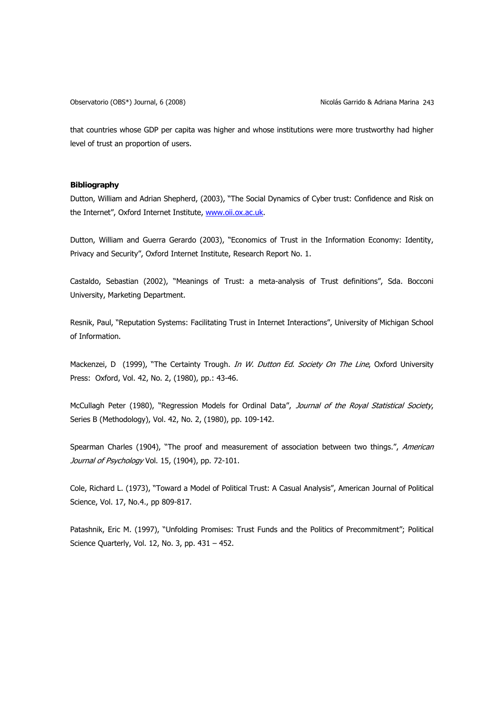that countries whose GDP per capita was higher and whose institutions were more trustworthy had higher level of trust an proportion of users.

# **Bibliography**

Dutton, William and Adrian Shepherd, (2003), "The Social Dynamics of Cyber trust: Confidence and Risk on the Internet", Oxford Internet Institute, [www.oii.ox.ac.uk.](http://www.oii.ox.ac.uk/)

Dutton, William and Guerra Gerardo (2003), "Economics of Trust in the Information Economy: Identity, Privacy and Security", Oxford Internet Institute, Research Report No. 1.

Castaldo, Sebastian (2002), "Meanings of Trust: a meta-analysis of Trust definitions", Sda. Bocconi University, Marketing Department.

Resnik, Paul, "Reputation Systems: Facilitating Trust in Internet Interactions", University of Michigan School of Information.

Mackenzei, D (1999), "The Certainty Trough. In W. Dutton Ed. Society On The Line, Oxford University Press: Oxford, Vol. 42, No. 2, (1980), pp.: 43-46.

McCullagh Peter (1980), "Regression Models for Ordinal Data", Journal of the Royal Statistical Society, Series B (Methodology), Vol. 42, No. 2, (1980), pp. 109-142.

Spearman Charles (1904), "The proof and measurement of association between two things.", American Journal of Psychology Vol. 15, (1904), pp. 72-101.

Cole, Richard L. (1973), "Toward a Model of Political Trust: A Casual Analysis", American Journal of Political Science, Vol. 17, No.4., pp 809-817.

Patashnik, Eric M. (1997), "Unfolding Promises: Trust Funds and the Politics of Precommitment"; Political Science Quarterly, Vol. 12, No. 3, pp. 431 – 452.